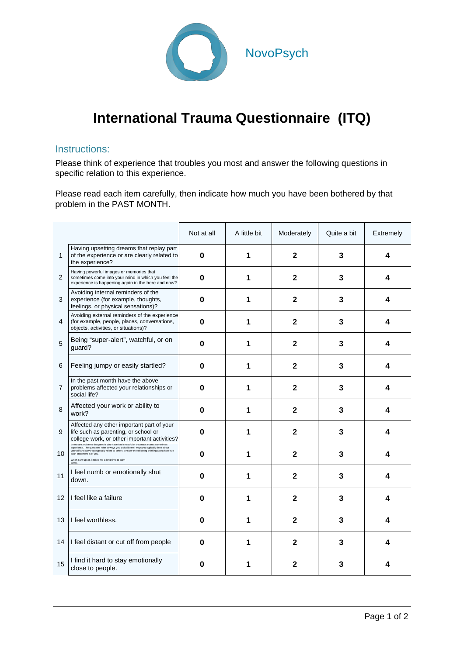

## **International Trauma Questionnaire (ITQ)**

## Instructions:

Please think of experience that troubles you most and answer the following questions in specific relation to this experience.

Please read each item carefully, then indicate how much you have been bothered by that problem in the PAST MONTH.

|                 |                                                                                                                                                                                                                                                                                                                                                                      | Not at all | A little bit | Moderately     | Quite a bit | Extremely |
|-----------------|----------------------------------------------------------------------------------------------------------------------------------------------------------------------------------------------------------------------------------------------------------------------------------------------------------------------------------------------------------------------|------------|--------------|----------------|-------------|-----------|
| $\mathbf{1}$    | Having upsetting dreams that replay part<br>of the experience or are clearly related to<br>the experience?                                                                                                                                                                                                                                                           | $\bf{0}$   | 1            | 2              | 3           | 4         |
| $\overline{2}$  | Having powerful images or memories that<br>sometimes come into your mind in which you feel the<br>experience is happening again in the here and now?                                                                                                                                                                                                                 | $\bf{0}$   | 1            | $\mathbf{2}$   | 3           | 4         |
| 3               | Avoiding internal reminders of the<br>experience (for example, thoughts,<br>feelings, or physical sensations)?                                                                                                                                                                                                                                                       | 0          | 1            | $\mathbf{2}$   | 3           | 4         |
| 4               | Avoiding external reminders of the experience<br>(for example, people, places, conversations,<br>objects, activities, or situations)?                                                                                                                                                                                                                                | $\bf{0}$   | 1            | $\mathbf 2$    | 3           | 4         |
| 5               | Being "super-alert", watchful, or on<br>quard?                                                                                                                                                                                                                                                                                                                       | $\bf{0}$   | 1            | $\overline{2}$ | 3           | 4         |
| 6               | Feeling jumpy or easily startled?                                                                                                                                                                                                                                                                                                                                    | 0          | 1            | $\mathbf 2$    | 3           | 4         |
| $\overline{7}$  | In the past month have the above<br>problems affected your relationships or<br>social life?                                                                                                                                                                                                                                                                          | 0          | 1            | $\mathbf{2}$   | 3           | 4         |
| 8               | Affected your work or ability to<br>work?                                                                                                                                                                                                                                                                                                                            | $\bf{0}$   | 1            | $\mathbf{2}$   | 3           | 4         |
| 9               | Affected any other important part of your<br>life such as parenting, or school or<br>college work, or other important activities?                                                                                                                                                                                                                                    | $\bf{0}$   | 1            | $\mathbf{2}$   | 3           | 4         |
| 10 <sup>1</sup> | Below are problems that people who have had stressful or traumatic events sometimes<br>experience. The questions refer to ways you typically feel, ways you typically think about<br>yourself and ways you typically relate to others. Answer the following thinking about how true<br>each statement is of you.<br>When I am upset, it takes me a long time to calm | 0          | 1            | 2              | 3           | 4         |
| 11              | I feel numb or emotionally shut<br>down.                                                                                                                                                                                                                                                                                                                             | 0          | 1            | $\mathbf 2$    | 3           | 4         |
| 12              | I feel like a failure                                                                                                                                                                                                                                                                                                                                                | 0          | 1            | $\mathbf{2}$   | 3           | 4         |
| 13              | I feel worthless.                                                                                                                                                                                                                                                                                                                                                    | 0          | 1            | $\mathbf{2}$   | 3           | 4         |
| 14              | I feel distant or cut off from people                                                                                                                                                                                                                                                                                                                                | 0          | 1            | $\mathbf{2}$   | 3           | 4         |
| 15              | I find it hard to stay emotionally<br>close to people.                                                                                                                                                                                                                                                                                                               | 0          | 1            | 2              | 3           | 4         |